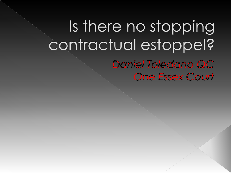# Is there no stopping contractual estoppel? Daniel Toledano QC **One Essex Court**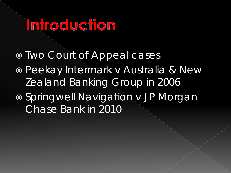# Infroduction

- Two Court of Appeal cases
- Peekay Intermark v Australia & New Zealand Banking Group in 2006
- Springwell Navigation v JP Morgan Chase Bank in 2010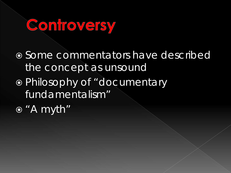# Controversy

 Some commentators have described the concept as unsound

 Philosophy of "documentary fundamentalism"

"A myth"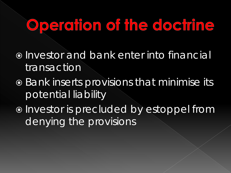# Operation of the doctrine

- $\odot$  Investor and bank enter into financial transaction
- $\overline{\bullet}$  Bank inserts provisions that minimise its potential liability
- $\bullet$  Investor is precluded by estoppel from denying the provisions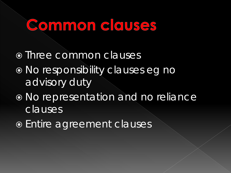### Common clauses

- o Three common clauses
- No responsibility clauses eg no advisory duty
- No representation and no reliance clauses
- Entire agreement clauses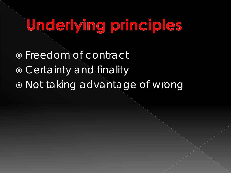# Underlying principles

 Freedom of contract **• Certainty and finality** Not taking advantage of wrong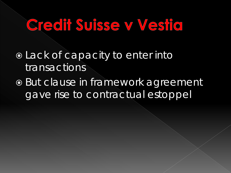## Credit Suisse v Vestid

 Lack of capacity to enter into transactions

 But clause in framework agreement gave rise to contractual estoppel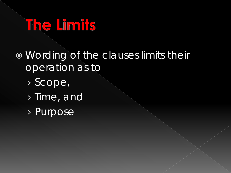# The Limits

- Wording of the clauses limits their operation as to
	- › Scope,
	- › Time, and
	- › Purpose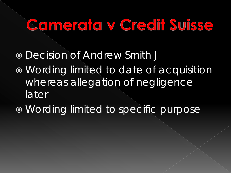# Comerata y Credit Suisse

- Decision of Andrew Smith J
- Wording limited to date of acquisition whereas allegation of negligence later
- Wording limited to specific purpose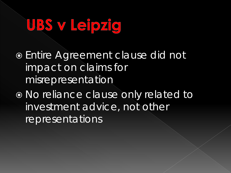# UBS v Leipzig

 Entire Agreement clause did not impact on claims for misrepresentation

 No reliance clause only related to investment advice, not other representations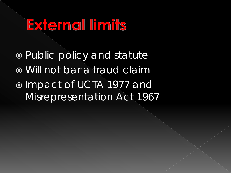# External limits

 Public policy and statute Will not bar a fraud claim o Impact of UCTA 1977 and Misrepresentation Act 1967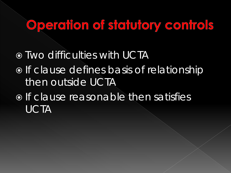#### Operation of statutory controls

 $\circ$  Two difficulties with UCTA o If clause defines basis of relationship then outside UCTA  $\circ$  If clause reasonable then satisfies UCTA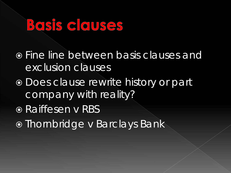### BOSIS CIOUSES

 Fine line between basis clauses and exclusion clauses

- Does clause rewrite history or part company with reality?
- Raiffesen v RBS
- Thornbridge v Barclays Bank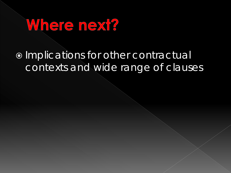

#### $\bullet$  Implications for other contractual contexts and wide range of clauses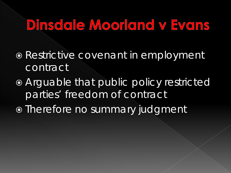#### Dinsdale Moorland v Evans

- **Restrictive covenant in employment** contract
- Arguable that public policy restricted parties' freedom of contract
- o Therefore no summary judgment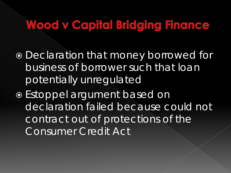#### Wood v Capital Bridging Finance

- Declaration that money borrowed for business of borrower such that loan potentially unregulated
- Estoppel argument based on declaration failed because could not contract out of protections of the Consumer Credit Act